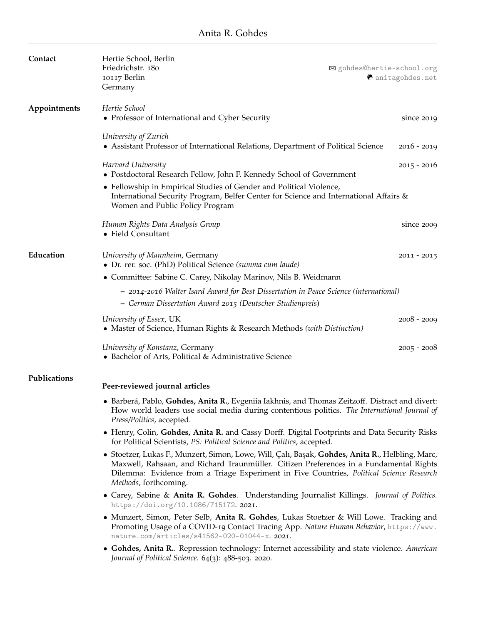| Contact      | Hertie School, Berlin                                                                                                                                                                                                                                                                                           |                            |
|--------------|-----------------------------------------------------------------------------------------------------------------------------------------------------------------------------------------------------------------------------------------------------------------------------------------------------------------|----------------------------|
|              | Friedrichstr. 180                                                                                                                                                                                                                                                                                               | ⊠ gohdes@hertie-school.org |
|              | 10117 Berlin<br>Germany                                                                                                                                                                                                                                                                                         | <b>O</b> anitagohdes.net   |
|              |                                                                                                                                                                                                                                                                                                                 |                            |
| Appointments | Hertie School                                                                                                                                                                                                                                                                                                   |                            |
|              | • Professor of International and Cyber Security                                                                                                                                                                                                                                                                 | since $2019$               |
|              |                                                                                                                                                                                                                                                                                                                 |                            |
|              | University of Zurich<br>• Assistant Professor of International Relations, Department of Political Science                                                                                                                                                                                                       | $2016 - 2019$              |
|              |                                                                                                                                                                                                                                                                                                                 |                            |
|              | Harvard University                                                                                                                                                                                                                                                                                              | $2015 - 2016$              |
|              | • Postdoctoral Research Fellow, John F. Kennedy School of Government                                                                                                                                                                                                                                            |                            |
|              | • Fellowship in Empirical Studies of Gender and Political Violence,<br>International Security Program, Belfer Center for Science and International Affairs &<br>Women and Public Policy Program                                                                                                                 |                            |
|              | Human Rights Data Analysis Group                                                                                                                                                                                                                                                                                | since 2009                 |
|              | • Field Consultant                                                                                                                                                                                                                                                                                              |                            |
|              |                                                                                                                                                                                                                                                                                                                 |                            |
| Education    | University of Mannheim, Germany                                                                                                                                                                                                                                                                                 | $2011 - 2015$              |
|              | • Dr. rer. soc. (PhD) Political Science (summa cum laude)                                                                                                                                                                                                                                                       |                            |
|              | • Committee: Sabine C. Carey, Nikolay Marinov, Nils B. Weidmann                                                                                                                                                                                                                                                 |                            |
|              | - 2014-2016 Walter Isard Award for Best Dissertation in Peace Science (international)                                                                                                                                                                                                                           |                            |
|              | - German Dissertation Award 2015 (Deutscher Studienpreis)                                                                                                                                                                                                                                                       |                            |
|              |                                                                                                                                                                                                                                                                                                                 |                            |
|              | University of Essex, UK<br>• Master of Science, Human Rights & Research Methods (with Distinction)                                                                                                                                                                                                              | $2008 - 2009$              |
|              | University of Konstanz, Germany<br>• Bachelor of Arts, Political & Administrative Science                                                                                                                                                                                                                       | $2005 - 2008$              |
| Publications | Peer-reviewed journal articles                                                                                                                                                                                                                                                                                  |                            |
|              | • Barberá, Pablo, Gohdes, Anita R., Evgeniia Iakhnis, and Thomas Zeitzoff. Distract and divert:<br>How world leaders use social media during contentious politics. The International Journal of<br>Press/Politics, accepted.                                                                                    |                            |
|              | • Henry, Colin, Gohdes, Anita R. and Cassy Dorff. Digital Footprints and Data Security Risks<br>for Political Scientists, PS: Political Science and Politics, accepted.                                                                                                                                         |                            |
|              | · Stoetzer, Lukas F., Munzert, Simon, Lowe, Will, Çalı, Başak, Gohdes, Anita R., Helbling, Marc,<br>Maxwell, Rahsaan, and Richard Traunmüller. Citizen Preferences in a Fundamental Rights<br>Dilemma: Evidence from a Triage Experiment in Five Countries, Political Science Research<br>Methods, forthcoming. |                            |
|              | • Carey, Sabine & Anita R. Gohdes. Understanding Journalist Killings. Journal of Politics.<br>https://doi.org/10.1086/715172.2021.                                                                                                                                                                              |                            |
|              | • Munzert, Simon, Peter Selb, Anita R. Gohdes, Lukas Stoetzer & Will Lowe. Tracking and<br>Promoting Usage of a COVID-19 Contact Tracing App. Nature Human Behavior, https://www.<br>nature.com/articles/s41562-020-01044-x. 2021.                                                                              |                            |
|              | • Gohdes, Anita R Repression technology: Internet accessibility and state violence. American<br>Journal of Political Science. 64(3): 488-503. 2020.                                                                                                                                                             |                            |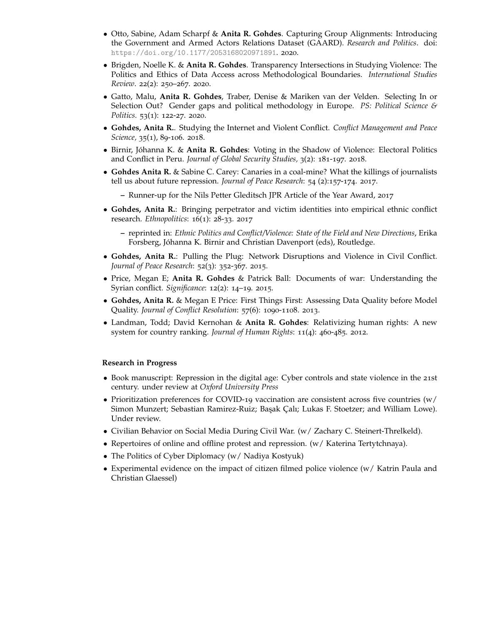- Otto, Sabine, Adam Scharpf & **Anita R. Gohdes**. Capturing Group Alignments: Introducing the Government and Armed Actors Relations Dataset (GAARD). *Research and Politics*. doi: <https://doi.org/10.1177/2053168020971891>. 2020.
- Brigden, Noelle K. & **Anita R. Gohdes**. Transparency Intersections in Studying Violence: The Politics and Ethics of Data Access across Methodological Boundaries. *International Studies Review*. 22(2): 250–267. 2020.
- Gatto, Malu, **Anita R. Gohdes**, Traber, Denise & Mariken van der Velden. Selecting In or Selection Out? Gender gaps and political methodology in Europe. *PS: Political Science & Politics*. 53(1): 122-27. 2020.
- **Gohdes, Anita R.**. Studying the Internet and Violent Conflict. *Conflict Management and Peace Science,* 35(1), 89-106. 2018.
- Birnir, Jóhanna K. & **Anita R. Gohdes**: Voting in the Shadow of Violence: Electoral Politics and Conflict in Peru. *Journal of Global Security Studies,* 3(2): 181-197. 2018.
- **Gohdes Anita R.** & Sabine C. Carey: Canaries in a coal-mine? What the killings of journalists tell us about future repression. *Journal of Peace Research*: 54 (2):157-174. 2017.
	- **–** Runner-up for the Nils Petter Gleditsch JPR Article of the Year Award, 2017
- **Gohdes, Anita R.**: Bringing perpetrator and victim identities into empirical ethnic conflict research. *Ethnopolitics*: 16(1): 28-33. 2017
	- **–** reprinted in: *Ethnic Politics and Conflict/Violence: State of the Field and New Directions*, Erika Forsberg, Jóhanna K. Birnir and Christian Davenport (eds), Routledge.
- **Gohdes, Anita R.**: Pulling the Plug: Network Disruptions and Violence in Civil Conflict. *Journal of Peace Research*: 52(3): 352-367. 2015.
- Price, Megan E; **Anita R. Gohdes** & Patrick Ball: Documents of war: Understanding the Syrian conflict. *Significance*: 12(2): 14–19. 2015.
- **Gohdes, Anita R.** & Megan E Price: First Things First: Assessing Data Quality before Model Quality. *Journal of Conflict Resolution*: 57(6): 1090-1108. 2013.
- Landman, Todd; David Kernohan & **Anita R. Gohdes**: Relativizing human rights: A new system for country ranking. *Journal of Human Rights*: 11(4): 460-485. 2012.

#### **Research in Progress**

- Book manuscript: Repression in the digital age: Cyber controls and state violence in the 21st century. under review at *Oxford University Press*
- Prioritization preferences for COVID-19 vaccination are consistent across five countries (w/ Simon Munzert; Sebastian Ramirez-Ruiz; Ba¸sak Çalı; Lukas F. Stoetzer; and William Lowe). Under review.
- Civilian Behavior on Social Media During Civil War. (w/ Zachary C. Steinert-Threlkeld).
- Repertoires of online and offline protest and repression. (w/ Katerina Tertytchnaya).
- The Politics of Cyber Diplomacy (w/ Nadiya Kostyuk)
- Experimental evidence on the impact of citizen filmed police violence (w/ Katrin Paula and Christian Glaessel)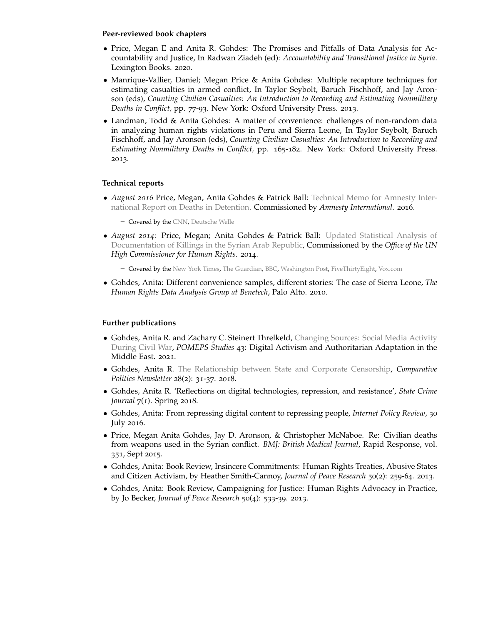#### **Peer-reviewed book chapters**

- Price, Megan E and Anita R. Gohdes: The Promises and Pitfalls of Data Analysis for Accountability and Justice, In Radwan Ziadeh (ed): *Accountability and Transitional Justice in Syria*. Lexington Books. 2020.
- Manrique-Vallier, Daniel; Megan Price & Anita Gohdes: Multiple recapture techniques for estimating casualties in armed conflict, In Taylor Seybolt, Baruch Fischhoff, and Jay Aronson (eds), *Counting Civilian Casualties: An Introduction to Recording and Estimating Nonmilitary Deaths in Conflict,* pp. 77-93. New York: Oxford University Press. 2013.
- Landman, Todd & Anita Gohdes: A matter of convenience: challenges of non-random data in analyzing human rights violations in Peru and Sierra Leone, In Taylor Seybolt, Baruch Fischhoff, and Jay Aronson (eds), *Counting Civilian Casualties: An Introduction to Recording and Estimating Nonmilitary Deaths in Conflict,* pp. 165-182. New York: Oxford University Press. 2013.

## **Technical reports**

• *August 2016* Price, Megan, Anita Gohdes & Patrick Ball: [Technical Memo for Amnesty Inter](https://hrdag.org/wp-content/uploads/2016/07/HRDAG-AI-memo.pdf)[national Report on Deaths in Detention.](https://hrdag.org/wp-content/uploads/2016/07/HRDAG-AI-memo.pdf) Commissioned by *Amnesty International*. 2016.

**–** Covered by the [CNN,](http://edition.cnn.com/2016/08/17/middleeast/amnesty-report-syria-torture-deaths/) [Deutsche Welle](http://www.dw.com/en/amnesty-report-damns-syrian-government-on-prison-abuse/a-19481399)

- *August 2014*: Price, Megan; Anita Gohdes & Patrick Ball: [Updated Statistical Analysis of](http://www.ohchr.org/Documents/Countries/SY/HRDAGUpdatedReportAug2014.pdf) [Documentation of Killings in the Syrian Arab Republic,](http://www.ohchr.org/Documents/Countries/SY/HRDAGUpdatedReportAug2014.pdf) Commissioned by the *Office of the UN High Commissioner for Human Rights*. 2014.
	- **–** Covered by the [New York Times,](http://www.nytimes.com/2014/08/23/world/middleeast/un-raises-estimate-of-dead-in-syrian-conflict-to-191000.html?_r=0) [The Guardian,](http://www.nytimes.com/2014/08/23/world/middleeast/un-raises-estimate-of-dead-in-syrian-conflict-to-191000.html?_r=0) [BBC,](http://www.bbc.com/news/world-middle-east-28892552) [Washington Post,](http://www.washingtonpost.com/world/syrian-civil-war-has-claimed-more-than-191000-lives-un-says/2014/08/22/cb4d4e94-2a17-11e4-8593-da634b334390_story.html) [FiveThirtyEight,](http://fivethirtyeight.com/datalab/why-it-took-so-long-to-update-the-u-n-sponsored-syria-death-count/) [Vox.com](http://www.vox.com/2014/8/22/6056773/how-to-count-syrias-dead-why-the-truth-is-probably-much-worse-than)
- Gohdes, Anita: Different convenience samples, different stories: The case of Sierra Leone, *The Human Rights Data Analysis Group at Benetech*, Palo Alto. 2010.

# **Further publications**

- Gohdes, Anita R. and Zachary C. Steinert Threlkeld, [Changing Sources: Social Media Activity](https://pomeps.org/changing-sources-social-media-activity-during-civil-war) [During Civil War,](https://pomeps.org/changing-sources-social-media-activity-during-civil-war) *POMEPS Studies* 43: Digital Activism and Authoritarian Adaptation in the Middle East. 2021.
- Gohdes, Anita R. [The Relationship between State and Corporate Censorship,](http://www.anitagohdes.net/uploads/2/7/2/3/27235401/gohdes_cp_fall2018.pdf) *Comparative Politics Newsletter* 28(2): 31-37. 2018.
- Gohdes, Anita R. 'Reflections on digital technologies, repression, and resistance', *State Crime Journal* 7(1). Spring 2018.
- Gohdes, Anita: From repressing digital content to repressing people, *Internet Policy Review*, 30 July 2016.
- Price, Megan Anita Gohdes, Jay D. Aronson, & Christopher McNaboe. Re: Civilian deaths from weapons used in the Syrian conflict. *BMJ: British Medical Journal*, Rapid Response, vol. 351, Sept 2015.
- Gohdes, Anita: Book Review, Insincere Commitments: Human Rights Treaties, Abusive States and Citizen Activism, by Heather Smith-Cannoy, *Journal of Peace Research* 50(2): 259-64. 2013.
- Gohdes, Anita: Book Review, Campaigning for Justice: Human Rights Advocacy in Practice, by Jo Becker, *Journal of Peace Research* 50(4): 533-39. 2013.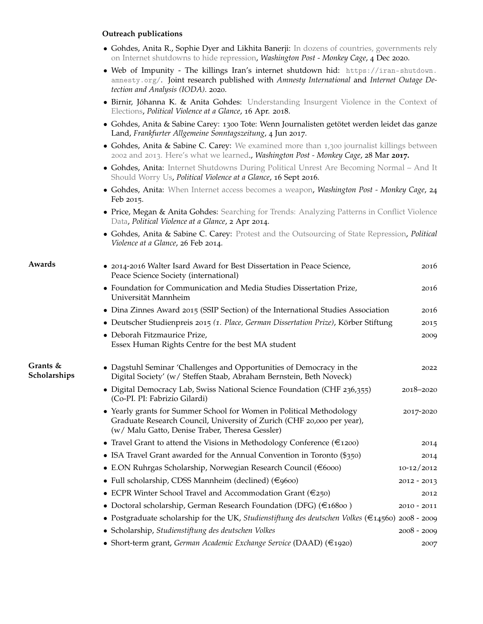#### **Outreach publications**

- Gohdes, Anita R., Sophie Dyer and Likhita Banerji: [In dozens of countries, governments rely](https://www.washingtonpost.com/politics/2020/12/04/dozens-countries-governments-rely-internet-shutdowns-hide-repression/) [on Internet shutdowns to hide repression,](https://www.washingtonpost.com/politics/2020/12/04/dozens-countries-governments-rely-internet-shutdowns-hide-repression/) *Washington Post - Monkey Cage*, 4 Dec 2020.
- Web of Impunity The killings Iran's internet shutdown hid: [https://iran-shutdown.](https://iran-shutdown.amnesty.org/) [amnesty.org/](https://iran-shutdown.amnesty.org/). Joint research published with *Amnesty International* and *Internet Outage Detection and Analysis (IODA)*. 2020.
- Birnir, Jóhanna K. & Anita Gohdes: [Understanding Insurgent Violence in the Context of](http://politicalviolenceataglance.org/2018/04/16/understanding-insurgent-violence-in-the-context-of-elections/) [Elections,](http://politicalviolenceataglance.org/2018/04/16/understanding-insurgent-violence-in-the-context-of-elections/) *Political Violence at a Glance*, 16 Apr. 2018.
- Gohdes, Anita & Sabine Carey: 1300 Tote: Wenn Journalisten getötet werden leidet das ganze Land, *Frankfurter Allgemeine Sonntagszeitung*, 4 Jun 2017.
- Gohdes, Anita & Sabine C. Carey: We examined more than 1,300 [journalist killings between](https://www.washingtonpost.com/news/monkey-cage/wp/2017/03/28/we-examined-more-than-1300-journalist-killings-between-2002-and-2013-heres-what-we-learned/) 2002 and 2013[. Here's what we learned.](https://www.washingtonpost.com/news/monkey-cage/wp/2017/03/28/we-examined-more-than-1300-journalist-killings-between-2002-and-2013-heres-what-we-learned/), *Washington Post - Monkey Cage*, 28 Mar **2017.**
- Gohdes, Anita: [Internet Shutdowns During Political Unrest Are Becoming Normal And It](https://politicalviolenceataglance.org/2016/09/16/internet-shutdowns-during-political-unrest-are-becoming-normal-and-it-should-worry-us/) [Should Worry Us,](https://politicalviolenceataglance.org/2016/09/16/internet-shutdowns-during-political-unrest-are-becoming-normal-and-it-should-worry-us/) *Political Violence at a Glance*, 16 Sept 2016.
- Gohdes, Anita: [When Internet access becomes a weapon,](http://www.washingtonpost.com/blogs/monkey-cage/wp/2015/02/24/internet-access-as-a-weapon/) *Washington Post Monkey Cage*, 24 Feb 2015.
- Price, Megan & Anita Gohdes: [Searching for Trends: Analyzing Patterns in Conflict Violence](http://politicalviolenceataglance.org/2014/04/02/searching-for-trends-analyzing-patterns-in-conflict-violence-data/) [Data,](http://politicalviolenceataglance.org/2014/04/02/searching-for-trends-analyzing-patterns-in-conflict-violence-data/) *Political Violence at a Glance*, 2 Apr 2014.
- Gohdes, Anita & Sabine C. Carey: [Protest and the Outsourcing of State Repression,](http://politicalviolenceataglance.org/2014/02/26/protest-and-the-outsourcing-of-state-repression/) *Political Violence at a Glance*, 26 Feb 2014.

| Awards                     | • 2014-2016 Walter Isard Award for Best Dissertation in Peace Science,<br>Peace Science Society (international)                                                                                   | 2016           |
|----------------------------|---------------------------------------------------------------------------------------------------------------------------------------------------------------------------------------------------|----------------|
|                            | • Foundation for Communication and Media Studies Dissertation Prize,<br>Universität Mannheim                                                                                                      | 2016           |
|                            | • Dina Zinnes Award 2015 (SSIP Section) of the International Studies Association                                                                                                                  | 2016           |
|                            | • Deutscher Studienpreis 2015 (1. Place, German Dissertation Prize), Körber Stiftung                                                                                                              | 2015           |
|                            | · Deborah Fitzmaurice Prize,<br>Essex Human Rights Centre for the best MA student                                                                                                                 | 2009           |
| Grants $&$<br>Scholarships | • Dagstuhl Seminar 'Challenges and Opportunities of Democracy in the<br>Digital Society' (w/ Steffen Staab, Abraham Bernstein, Beth Noveck)                                                       | 2022           |
|                            | • Digital Democracy Lab, Swiss National Science Foundation (CHF 236,355)<br>(Co-PI. PI: Fabrizio Gilardi)                                                                                         | 2018-2020      |
|                            | • Yearly grants for Summer School for Women in Political Methodology<br>Graduate Research Council, University of Zurich (CHF 20,000 per year),<br>(w/ Malu Gatto, Denise Traber, Theresa Gessler) | 2017-2020      |
|                            | • Travel Grant to attend the Visions in Methodology Conference ( $\epsilon$ 1200)                                                                                                                 | 2014           |
|                            | • ISA Travel Grant awarded for the Annual Convention in Toronto $(\frac{4}{350})$                                                                                                                 | 2014           |
|                            | • E.ON Ruhrgas Scholarship, Norwegian Research Council ( $\in$ 6000)                                                                                                                              | $10 - 12/2012$ |
|                            | • Full scholarship, CDSS Mannheim (declined) (€9600)                                                                                                                                              | $2012 - 2013$  |
|                            | • ECPR Winter School Travel and Accommodation Grant ( $\epsilon$ 250)                                                                                                                             | 2012           |
|                            | • Doctoral scholarship, German Research Foundation (DFG) $(\text{\textsterling}16800)$                                                                                                            | $2010 - 2011$  |
|                            | • Postgraduate scholarship for the UK, Studienstiftung des deutschen Volkes ( $\in$ 14560) 2008 - 2009                                                                                            |                |
|                            | • Scholarship, Studienstiftung des deutschen Volkes                                                                                                                                               | $2008 - 2009$  |
|                            | • Short-term grant, German Academic Exchange Service (DAAD) (€1920)                                                                                                                               | 2007           |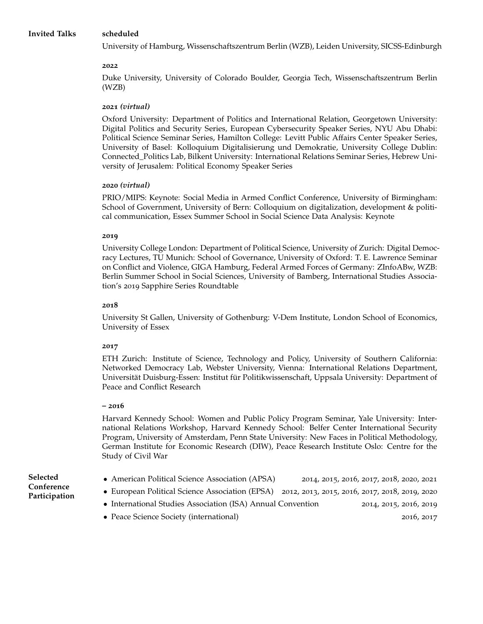University of Hamburg, Wissenschaftszentrum Berlin (WZB), Leiden University, SICSS-Edinburgh

### **2022**

Duke University, University of Colorado Boulder, Georgia Tech, Wissenschaftszentrum Berlin (WZB)

## **2021** *(virtual)*

Oxford University: Department of Politics and International Relation, Georgetown University: Digital Politics and Security Series, European Cybersecurity Speaker Series, NYU Abu Dhabi: Political Science Seminar Series, Hamilton College: Levitt Public Affairs Center Speaker Series, University of Basel: Kolloquium Digitalisierung und Demokratie, University College Dublin: Connected\_Politics Lab, Bilkent University: International Relations Seminar Series, Hebrew University of Jerusalem: Political Economy Speaker Series

## **2020** *(virtual)*

PRIO/MIPS: Keynote: Social Media in Armed Conflict Conference, University of Birmingham: School of Government, University of Bern: Colloquium on digitalization, development & political communication, Essex Summer School in Social Science Data Analysis: Keynote

### **2019**

University College London: Department of Political Science, University of Zurich: Digital Democracy Lectures, TU Munich: School of Governance, University of Oxford: T. E. Lawrence Seminar on Conflict and Violence, GIGA Hamburg, Federal Armed Forces of Germany: ZInfoABw, WZB: Berlin Summer School in Social Sciences, University of Bamberg, International Studies Association's 2019 Sapphire Series Roundtable

## **2018**

University St Gallen, University of Gothenburg: V-Dem Institute, London School of Economics, University of Essex

# **2017**

ETH Zurich: Institute of Science, Technology and Policy, University of Southern California: Networked Democracy Lab, Webster University, Vienna: International Relations Department, Universität Duisburg-Essen: Institut für Politikwissenschaft, Uppsala University: Department of Peace and Conflict Research

### **– 2016**

Harvard Kennedy School: Women and Public Policy Program Seminar, Yale University: International Relations Workshop, Harvard Kennedy School: Belfer Center International Security Program, University of Amsterdam, Penn State University: New Faces in Political Methodology, German Institute for Economic Research (DIW), Peace Research Institute Oslo: Centre for the Study of Civil War

# **Selected Conference Participation**

- American Political Science Association (APSA) 2014, 2015, 2016, 2017, 2018, 2020, 2021
- European Political Science Association (EPSA) 2012, 2013, 2015, 2016, 2017, 2018, 2019, 2020
- International Studies Association (ISA) Annual Convention 2014, 2015, 2016, 2019
- Peace Science Society (international) 2016, 2017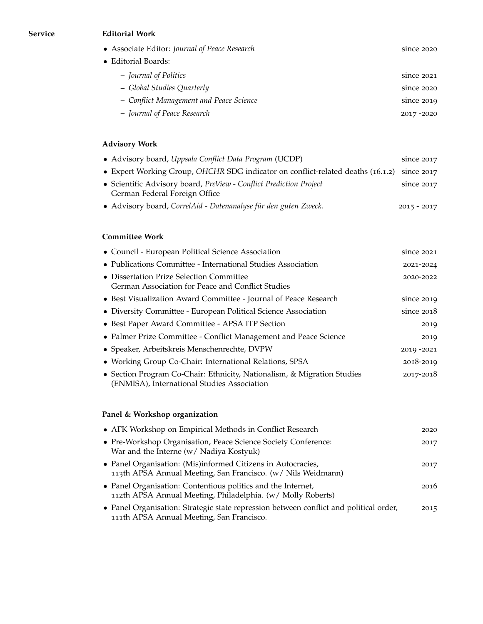## **Service Editorial Work**

|                     | • Associate Editor: Journal of Peace Research | since 2020 |
|---------------------|-----------------------------------------------|------------|
| • Editorial Boards: |                                               |            |
|                     | - Journal of Politics                         | since 2021 |
|                     | - Global Studies Quarterly                    | since 2020 |
|                     | - Conflict Management and Peace Science       | since 2019 |
|                     | - Journal of Peace Research                   | 2017-2020  |

# **Advisory Work**

| • Advisory board, Uppsala Conflict Data Program (UCDP)                                              | since 2017    |
|-----------------------------------------------------------------------------------------------------|---------------|
| • Expert Working Group, OHCHR SDG indicator on conflict-related deaths (16.1.2) since 2017          |               |
| • Scientific Advisory board, PreView - Conflict Prediction Project<br>German Federal Foreign Office | since $2017$  |
| • Advisory board, CorrelAid - Datenanalyse für den guten Zweck.                                     | $2015 - 2017$ |

# **Committee Work**

| • Council - European Political Science Association                                                                     | since 2021   |
|------------------------------------------------------------------------------------------------------------------------|--------------|
| • Publications Committee - International Studies Association                                                           | 2021-2024    |
| • Dissertation Prize Selection Committee<br>German Association for Peace and Conflict Studies                          | 2020-2022    |
| • Best Visualization Award Committee - Journal of Peace Research                                                       | since $2019$ |
| • Diversity Committee - European Political Science Association                                                         | since $2018$ |
| • Best Paper Award Committee - APSA ITP Section                                                                        | 2019         |
| • Palmer Prize Committee - Conflict Management and Peace Science                                                       | 2019         |
| • Speaker, Arbeitskreis Menschenrechte, DVPW                                                                           | 2019 - 2021  |
| • Working Group Co-Chair: International Relations, SPSA                                                                | 2018-2019    |
| • Section Program Co-Chair: Ethnicity, Nationalism, & Migration Studies<br>(ENMISA), International Studies Association | 2017-2018    |

# **Panel & Workshop organization**

| • AFK Workshop on Empirical Methods in Conflict Research                                                                            | 2020 |
|-------------------------------------------------------------------------------------------------------------------------------------|------|
| • Pre-Workshop Organisation, Peace Science Society Conference:<br>War and the Interne (w/ Nadiya Kostyuk)                           | 2017 |
| • Panel Organisation: (Mis)informed Citizens in Autocracies,<br>113th APSA Annual Meeting, San Francisco. (w/ Nils Weidmann)        | 2017 |
| • Panel Organisation: Contentious politics and the Internet,<br>112th APSA Annual Meeting, Philadelphia. (w/ Molly Roberts)         | 2016 |
| • Panel Organisation: Strategic state repression between conflict and political order,<br>111th APSA Annual Meeting, San Francisco. | 2015 |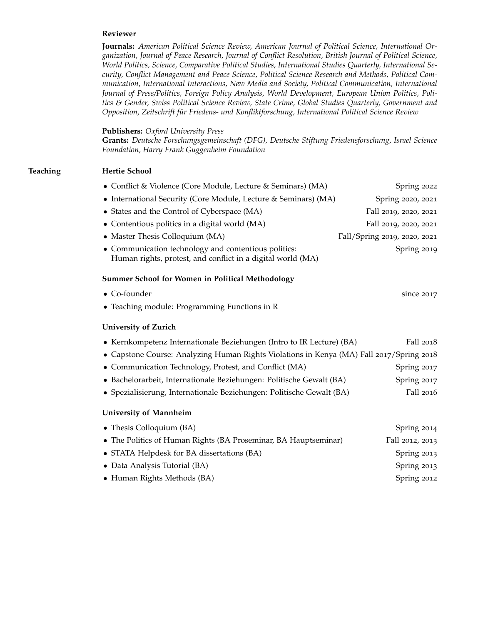#### **Reviewer**

**Journals:** *American Political Science Review, American Journal of Political Science, International Organization, Journal of Peace Research, Journal of Conflict Resolution, British Journal of Political Science, World Politics, Science, Comparative Political Studies, International Studies Quarterly, International Security, Conflict Management and Peace Science, Political Science Research and Methods, Political Communication, International Interactions, New Media and Society, Political Communication, International Journal of Press/Politics, Foreign Policy Analysis, World Development, European Union Politics, Politics & Gender, Swiss Political Science Review, State Crime, Global Studies Quarterly, Government and Opposition, Zeitschrift für Friedens- und Konfliktforschung, International Political Science Review*

#### **Publishers:** *Oxford University Press*

**Grants:** *Deutsche Forschungsgemeinschaft (DFG), Deutsche Stiftung Friedensforschung, Israel Science Foundation, Harry Frank Guggenheim Foundation*

#### **Teaching Hertie School**

| • Conflict & Violence (Core Module, Lecture & Seminars) (MA)                                                        | Spring 2022                  |
|---------------------------------------------------------------------------------------------------------------------|------------------------------|
| • International Security (Core Module, Lecture & Seminars) (MA)                                                     | Spring 2020, 2021            |
| • States and the Control of Cyberspace (MA)                                                                         | Fall 2019, 2020, 2021        |
| • Contentious politics in a digital world (MA)                                                                      | Fall 2019, 2020, 2021        |
| • Master Thesis Colloquium (MA)                                                                                     | Fall/Spring 2019, 2020, 2021 |
| • Communication technology and contentious politics:<br>Human rights, protest, and conflict in a digital world (MA) | Spring 2019                  |
| <b>Summer School for Women in Political Methodology</b>                                                             |                              |
| • Co-founder                                                                                                        | since 2017                   |
| • Teaching module: Programming Functions in R                                                                       |                              |
| <b>University of Zurich</b>                                                                                         |                              |
| • Kernkompetenz Internationale Beziehungen (Intro to IR Lecture) (BA)                                               | Fall 2018                    |
| • Capstone Course: Analyzing Human Rights Violations in Kenya (MA) Fall 2017/Spring 2018                            |                              |
| • Communication Technology, Protest, and Conflict (MA)                                                              | Spring 2017                  |
| • Bachelorarbeit, Internationale Beziehungen: Politische Gewalt (BA)                                                | Spring 2017                  |
| • Spezialisierung, Internationale Beziehungen: Politische Gewalt (BA)                                               | Fall 2016                    |
| <b>University of Mannheim</b>                                                                                       |                              |
| • Thesis Colloquium (BA)                                                                                            | Spring 2014                  |
| • The Politics of Human Rights (BA Proseminar, BA Hauptseminar)                                                     | Fall 2012, 2013              |
| • STATA Helpdesk for BA dissertations (BA)                                                                          | Spring 2013                  |
| • Data Analysis Tutorial (BA)                                                                                       | Spring 2013                  |
| • Human Rights Methods (BA)                                                                                         | Spring 2012                  |